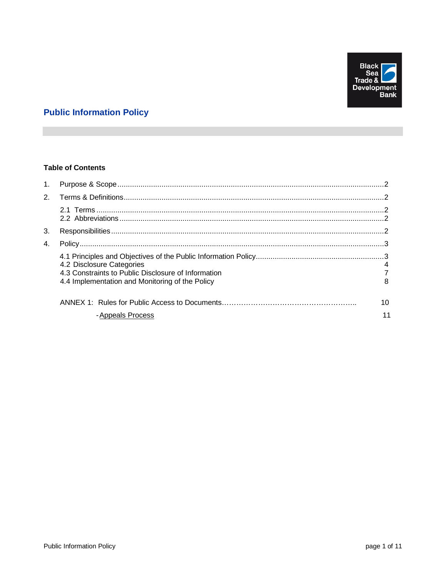

# **Public Information Policy**

# **Table of Contents**

| $1_{\cdot}$ |                                                                                                                                     |    |
|-------------|-------------------------------------------------------------------------------------------------------------------------------------|----|
|             |                                                                                                                                     |    |
|             |                                                                                                                                     |    |
| 3.          |                                                                                                                                     |    |
| 4.          |                                                                                                                                     |    |
|             | 4.2 Disclosure Categories<br>4.3 Constraints to Public Disclosure of Information<br>4.4 Implementation and Monitoring of the Policy |    |
|             |                                                                                                                                     | 10 |
|             | - Appeals Process                                                                                                                   |    |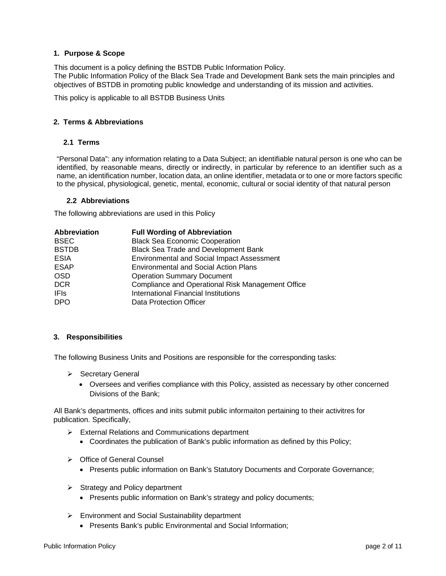# <span id="page-1-0"></span>**1. Purpose & Scope**

This document is a policy defining the BSTDB Public Information Policy. The Public Information Policy of the Black Sea Trade and Development Bank sets the main principles and objectives of BSTDB in promoting public knowledge and understanding of its mission and activities.

<span id="page-1-1"></span>This policy is applicable to all BSTDB Business Units

## <span id="page-1-2"></span>**2. Terms & Abbreviations**

## **2.1 Terms**

"Personal Data": any information relating to a Data Subject; an identifiable natural person is one who can be identified, by reasonable means, directly or indirectly, in particular by reference to an identifier such as a name, an identification number, location data, an online identifier, metadata or to one or more factors specific to the physical, physiological, genetic, mental, economic, cultural or social identity of that natural person

## **2.2 Abbreviations**

<span id="page-1-3"></span>The following abbreviations are used in this Policy

| Abbreviation | <b>Full Wording of Abbreviation</b>               |
|--------------|---------------------------------------------------|
| <b>BSEC</b>  | <b>Black Sea Economic Cooperation</b>             |
| <b>BSTDB</b> | Black Sea Trade and Development Bank              |
| <b>ESIA</b>  | <b>Environmental and Social Impact Assessment</b> |
| <b>ESAP</b>  | <b>Environmental and Social Action Plans</b>      |
| <b>OSD</b>   | <b>Operation Summary Document</b>                 |
| <b>DCR</b>   | Compliance and Operational Risk Management Office |
| <b>IFIs</b>  | International Financial Institutions              |
| <b>DPO</b>   | Data Protection Officer                           |

## <span id="page-1-4"></span>**3. Responsibilities**

The following Business Units and Positions are responsible for the corresponding tasks:

- $\triangleright$  Secretary General
	- Oversees and verifies compliance with this Policy, assisted as necessary by other concerned Divisions of the Bank;

All Bank's departments, offices and inits submit public informaiton pertaining to their activitres for publication. Specifically,

- External Relations and Communications department
	- Coordinates the publication of Bank's public information as defined by this Policy;
- ▶ Office of General Counsel
	- Presents public information on Bank's Statutory Documents and Corporate Governance;
- $\triangleright$  Strategy and Policy department
	- Presents public information on Bank's strategy and policy documents;
- Environment and Social Sustainability department
	- Presents Bank's public Environmental and Social Information;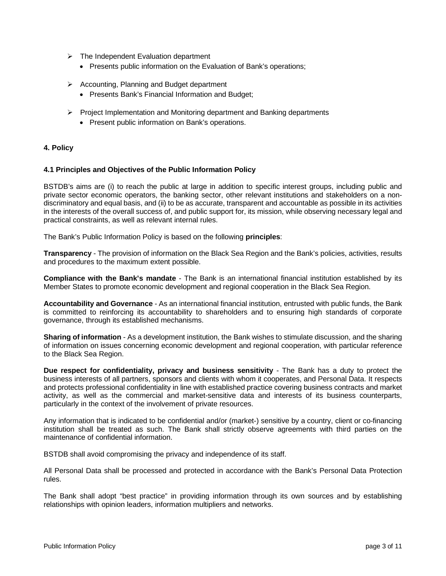- $\triangleright$  The Independent Evaluation department
	- Presents public information on the Evaluation of Bank's operations;
- $\triangleright$  Accounting, Planning and Budget department
	- Presents Bank's Financial Information and Budget;
- $\triangleright$  Project Implementation and Monitoring department and Banking departments
	- Present public information on Bank's operations.

## <span id="page-2-0"></span>**4. Policy**

## **4.1 Principles and Objectives of the Public Information Policy**

BSTDB's aims are (i) to reach the public at large in addition to specific interest groups, including public and private sector economic operators, the banking sector, other relevant institutions and stakeholders on a nondiscriminatory and equal basis, and (ii) to be as accurate, transparent and accountable as possible in its activities in the interests of the overall success of, and public support for, its mission, while observing necessary legal and practical constraints, as well as relevant internal rules.

The Bank's Public Information Policy is based on the following **principles**:

**Transparency** - The provision of information on the Black Sea Region and the Bank's policies, activities, results and procedures to the maximum extent possible.

**Compliance with the Bank's mandate** - The Bank is an international financial institution established by its Member States to promote economic development and regional cooperation in the Black Sea Region.

**Accountability and Governance** - As an international financial institution, entrusted with public funds, the Bank is committed to reinforcing its accountability to shareholders and to ensuring high standards of corporate governance, through its established mechanisms.

**Sharing of information** - As a development institution, the Bank wishes to stimulate discussion, and the sharing of information on issues concerning economic development and regional cooperation, with particular reference to the Black Sea Region.

**Due respect for confidentiality, privacy and business sensitivity** - The Bank has a duty to protect the business interests of all partners, sponsors and clients with whom it cooperates, and Personal Data. It respects and protects professional confidentiality in line with established practice covering business contracts and market activity, as well as the commercial and market-sensitive data and interests of its business counterparts, particularly in the context of the involvement of private resources.

Any information that is indicated to be confidential and/or (market-) sensitive by a country, client or co-financing institution shall be treated as such. The Bank shall strictly observe agreements with third parties on the maintenance of confidential information.

BSTDB shall avoid compromising the privacy and independence of its staff.

All Personal Data shall be processed and protected in accordance with the Bank's Personal Data Protection rules.

The Bank shall adopt "best practice" in providing information through its own sources and by establishing relationships with opinion leaders, information multipliers and networks.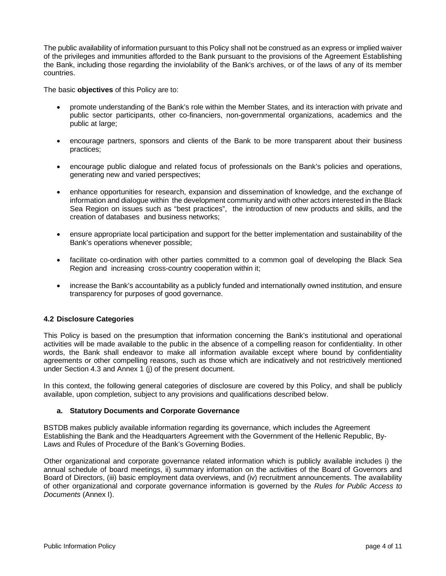The public availability of information pursuant to this Policy shall not be construed as an express or implied waiver of the privileges and immunities afforded to the Bank pursuant to the provisions of the Agreement Establishing the Bank, including those regarding the inviolability of the Bank's archives, or of the laws of any of its member countries.

The basic **objectives** of this Policy are to:

- promote understanding of the Bank's role within the Member States, and its interaction with private and public sector participants, other co-financiers, non-governmental organizations, academics and the public at large;
- encourage partners, sponsors and clients of the Bank to be more transparent about their business practices;
- encourage public dialogue and related focus of professionals on the Bank's policies and operations, generating new and varied perspectives;
- enhance opportunities for research, expansion and dissemination of knowledge, and the exchange of information and dialogue within the development community and with other actors interested in the Black Sea Region on issues such as "best practices", the introduction of new products and skills, and the creation of databases and business networks;
- ensure appropriate local participation and support for the better implementation and sustainability of the Bank's operations whenever possible;
- facilitate co-ordination with other parties committed to a common goal of developing the Black Sea Region and increasing cross-country cooperation within it;
- increase the Bank's accountability as a publicly funded and internationally owned institution, and ensure transparency for purposes of good governance.

# **4.2 Disclosure Categories**

This Policy is based on the presumption that information concerning the Bank's institutional and operational activities will be made available to the public in the absence of a compelling reason for confidentiality. In other words, the Bank shall endeavor to make all information available except where bound by confidentiality agreements or other compelling reasons, such as those which are indicatively and not restrictively mentioned under Section 4.3 and Annex 1 (j) of the present document.

In this context, the following general categories of disclosure are covered by this Policy, and shall be publicly available, upon completion, subject to any provisions and qualifications described below.

## **a. Statutory Documents and Corporate Governance**

BSTDB makes publicly available information regarding its governance, which includes the Agreement Establishing the Bank and the Headquarters Agreement with the Government of the Hellenic Republic, By-Laws and Rules of Procedure of the Bank's Governing Bodies.

Other organizational and corporate governance related information which is publicly available includes i) the annual schedule of board meetings, ii) summary information on the activities of the Board of Governors and Board of Directors, (iii) basic employment data overviews, and (iv) recruitment announcements. The availability of other organizational and corporate governance information is governed by the *Rules for Public Access to Documents* (Annex I).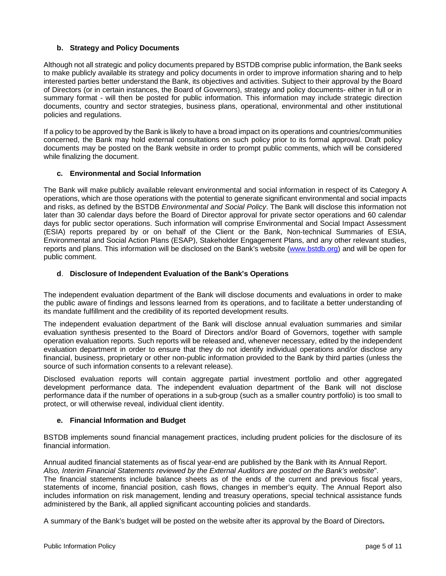# **b. Strategy and Policy Documents**

Although not all strategic and policy documents prepared by BSTDB comprise public information, the Bank seeks to make publicly available its strategy and policy documents in order to improve information sharing and to help interested parties better understand the Bank, its objectives and activities. Subject to their approval by the Board of Directors (or in certain instances, the Board of Governors), strategy and policy documents- either in full or in summary format - will then be posted for public information. This information may include strategic direction documents, country and sector strategies, business plans, operational, environmental and other institutional policies and regulations.

If a policy to be approved by the Bank is likely to have a broad impact on its operations and countries/communities concerned, the Bank may hold external consultations on such policy prior to its formal approval. Draft policy documents may be posted on the Bank website in order to prompt public comments, which will be considered while finalizing the document.

# **c. Environmental and Social Information**

The Bank will make publicly available relevant environmental and social information in respect of its Category A operations, which are those operations with the potential to generate significant environmental and social impacts and risks, as defined by the BSTDB *Environmental and Social Policy*. The Bank will disclose this information not later than 30 calendar days before the Board of Director approval for private sector operations and 60 calendar days for public sector operations. Such information will comprise Environmental and Social Impact Assessment (ESIA) reports prepared by or on behalf of the Client or the Bank, Non-technical Summaries of ESIA, Environmental and Social Action Plans (ESAP), Stakeholder Engagement Plans, and any other relevant studies, reports and plans. This information will be disclosed on the Bank's website [\(www.bstdb.org\)](http://www.bstdb.org/) and will be open for public comment.

# **d**. **Disclosure of Independent Evaluation of the Bank's Operations**

The independent evaluation department of the Bank will disclose documents and evaluations in order to make the public aware of findings and lessons learned from its operations, and to facilitate a better understanding of its mandate fulfillment and the credibility of its reported development results.

The independent evaluation department of the Bank will disclose annual evaluation summaries and similar evaluation synthesis presented to the Board of Directors and/or Board of Governors, together with sample operation evaluation reports. Such reports will be released and, whenever necessary, edited by the independent evaluation department in order to ensure that they do not identify individual operations and/or disclose any financial, business, proprietary or other non-public information provided to the Bank by third parties (unless the source of such information consents to a relevant release).

Disclosed evaluation reports will contain aggregate partial investment portfolio and other aggregated development performance data. The independent evaluation department of the Bank will not disclose performance data if the number of operations in a sub-group (such as a smaller country portfolio) is too small to protect, or will otherwise reveal, individual client identity.

## **e. Financial Information and Budget**

BSTDB implements sound financial management practices, including prudent policies for the disclosure of its financial information.

Annual audited financial statements as of fiscal year-end are published by the Bank with its Annual Report. *Also, Interim Financial Statements reviewed by the External Auditors are posted on the Bank's website*". The financial statements include balance sheets as of the ends of the current and previous fiscal years, statements of income, financial position, cash flows, changes in member's equity. The Annual Report also includes information on risk management, lending and treasury operations, special technical assistance funds administered by the Bank, all applied significant accounting policies and standards.

A summary of the Bank's budget will be posted on the website after its approval by the Board of Directors**.**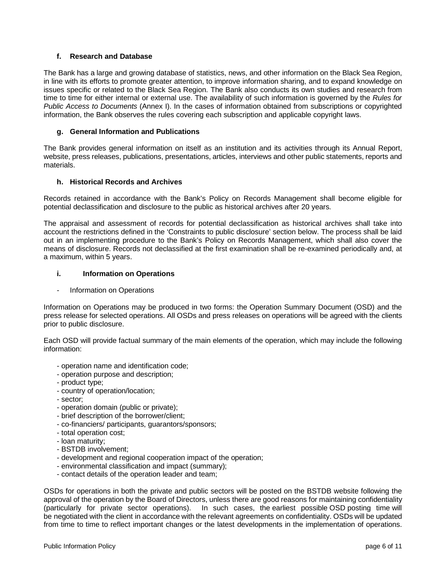# **f. Research and Database**

The Bank has a large and growing database of statistics, news, and other information on the Black Sea Region, in line with its efforts to promote greater attention, to improve information sharing, and to expand knowledge on issues specific or related to the Black Sea Region. The Bank also conducts its own studies and research from time to time for either internal or external use. The availability of such information is governed by the *Rules for Public Access to Documents* (Annex I). In the cases of information obtained from subscriptions or copyrighted information, the Bank observes the rules covering each subscription and applicable copyright laws.

# **g. General Information and Publications**

The Bank provides general information on itself as an institution and its activities through its Annual Report, website, press releases, publications, presentations, articles, interviews and other public statements, reports and materials.

# **h. Historical Records and Archives**

Records retained in accordance with the Bank's Policy on Records Management shall become eligible for potential declassification and disclosure to the public as historical archives after 20 years.

The appraisal and assessment of records for potential declassification as historical archives shall take into account the restrictions defined in the 'Constraints to public disclosure' section below. The process shall be laid out in an implementing procedure to the Bank's Policy on Records Management, which shall also cover the means of disclosure. Records not declassified at the first examination shall be re-examined periodically and, at a maximum, within 5 years.

# **i. Information on Operations**

Information on Operations

Information on Operations may be produced in two forms: the Operation Summary Document (OSD) and the press release for selected operations. All OSDs and press releases on operations will be agreed with the clients prior to public disclosure.

Each OSD will provide factual summary of the main elements of the operation, which may include the following information:

- operation name and identification code;
- operation purpose and description;
- product type;
- country of operation/location;
- sector;
- operation domain (public or private);
- brief description of the borrower/client;
- co-financiers/ participants, guarantors/sponsors;
- total operation cost;
- loan maturity;
- BSTDB involvement;
- development and regional cooperation impact of the operation;
- environmental classification and impact (summary);
- contact details of the operation leader and team;

OSDs for operations in both the private and public sectors will be posted on the BSTDB website following the approval of the operation by the Board of Directors, unless there are good reasons for maintaining confidentiality<br>(particularly for private sector operations). In such cases, the earliest possible OSD posting time will In such cases, the earliest possible OSD posting time will be negotiated with the client in accordance with the relevant agreements on confidentiality. OSDs will be updated from time to time to reflect important changes or the latest developments in the implementation of operations.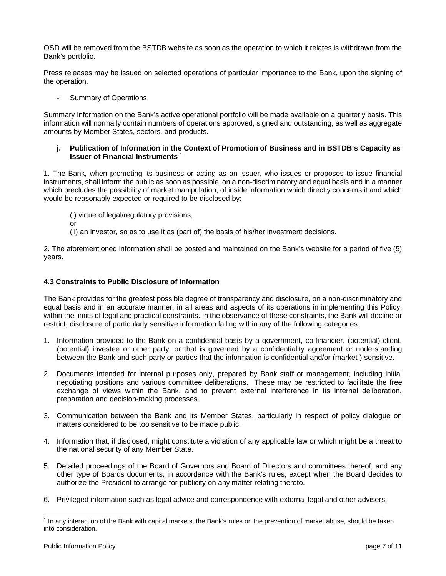OSD will be removed from the BSTDB website as soon as the operation to which it relates is withdrawn from the Bank's portfolio.

Press releases may be issued on selected operations of particular importance to the Bank, upon the signing of the operation.

Summary of Operations

Summary information on the Bank's active operational portfolio will be made available on a quarterly basis. This information will normally contain numbers of operations approved, signed and outstanding, as well as aggregate amounts by Member States, sectors, and products.

## **j. Publication of Information in the Context of Promotion of Business and in BSTDB's Capacity as Issuer of Financial Instruments** [1](#page-6-0)

1. The Bank, when promoting its business or acting as an issuer, who issues or proposes to issue financial instruments, shall inform the public as soon as possible, on a non-discriminatory and equal basis and in a manner which precludes the possibility of market manipulation, of inside information which directly concerns it and which would be reasonably expected or required to be disclosed by:

- (i) virtue of legal/regulatory provisions,
- or
- (ii) an investor, so as to use it as (part of) the basis of his/her investment decisions.

2. The aforementioned information shall be posted and maintained on the Bank's website for a period of five (5) years.

# **4.3 Constraints to Public Disclosure of Information**

The Bank provides for the greatest possible degree of transparency and disclosure, on a non-discriminatory and equal basis and in an accurate manner, in all areas and aspects of its operations in implementing this Policy, within the limits of legal and practical constraints. In the observance of these constraints, the Bank will decline or restrict, disclosure of particularly sensitive information falling within any of the following categories:

- 1. Information provided to the Bank on a confidential basis by a government, co-financier, (potential) client, (potential) investee or other party, or that is governed by a confidentiality agreement or understanding between the Bank and such party or parties that the information is confidential and/or (market-) sensitive.
- 2. Documents intended for internal purposes only, prepared by Bank staff or management, including initial negotiating positions and various committee deliberations. These may be restricted to facilitate the free exchange of views within the Bank, and to prevent external interference in its internal deliberation, preparation and decision-making processes.
- 3. Communication between the Bank and its Member States, particularly in respect of policy dialogue on matters considered to be too sensitive to be made public.
- 4. Information that, if disclosed, might constitute a violation of any applicable law or which might be a threat to the national security of any Member State.
- 5. Detailed proceedings of the Board of Governors and Board of Directors and committees thereof, and any other type of Boards documents, in accordance with the Bank's rules, except when the Board decides to authorize the President to arrange for publicity on any matter relating thereto.
- 6. Privileged information such as legal advice and correspondence with external legal and other advisers.

<span id="page-6-0"></span><sup>1</sup> In any interaction of the Bank with capital markets, the Bank's rules on the prevention of market abuse, should be taken into consideration.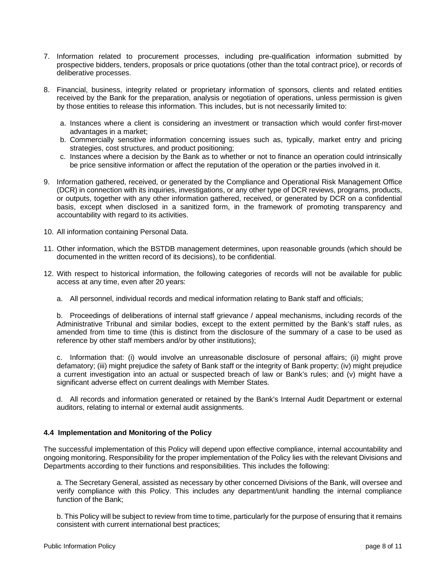- 7. Information related to procurement processes, including pre-qualification information submitted by prospective bidders, tenders, proposals or price quotations (other than the total contract price), or records of deliberative processes.
- 8. Financial, business, integrity related or proprietary information of sponsors, clients and related entities received by the Bank for the preparation, analysis or negotiation of operations, unless permission is given by those entities to release this information. This includes, but is not necessarily limited to:
	- a. Instances where a client is considering an investment or transaction which would confer first-mover advantages in a market;
	- b. Commercially sensitive information concerning issues such as, typically, market entry and pricing strategies, cost structures, and product positioning;
	- c. Instances where a decision by the Bank as to whether or not to finance an operation could intrinsically be price sensitive information or affect the reputation of the operation or the parties involved in it.
- 9. Information gathered, received, or generated by the Compliance and Operational Risk Management Office (DCR) in connection with its inquiries, investigations, or any other type of DCR reviews, programs, products, or outputs, together with any other information gathered, received, or generated by DCR on a confidential basis, except when disclosed in a sanitized form, in the framework of promoting transparency and accountability with regard to its activities.
- 10. All information containing Personal Data.
- 11. Other information, which the BSTDB management determines, upon reasonable grounds (which should be documented in the written record of its decisions), to be confidential.
- 12. With respect to historical information, the following categories of records will not be available for public access at any time, even after 20 years:
	- a. All personnel, individual records and medical information relating to Bank staff and officials;

b. Proceedings of deliberations of internal staff grievance / appeal mechanisms, including records of the Administrative Tribunal and similar bodies, except to the extent permitted by the Bank's staff rules, as amended from time to time (this is distinct from the disclosure of the summary of a case to be used as reference by other staff members and/or by other institutions);

c. Information that: (i) would involve an unreasonable disclosure of personal affairs; (ii) might prove defamatory; (iii) might prejudice the safety of Bank staff or the integrity of Bank property; (iv) might prejudice a current investigation into an actual or suspected breach of law or Bank's rules; and (v) might have a significant adverse effect on current dealings with Member States.

d. All records and information generated or retained by the Bank's Internal Audit Department or external auditors, relating to internal or external audit assignments.

## **4.4 Implementation and Monitoring of the Policy**

The successful implementation of this Policy will depend upon effective compliance, internal accountability and ongoing monitoring. Responsibility for the proper implementation of the Policy lies with the relevant Divisions and Departments according to their functions and responsibilities. This includes the following:

a. The Secretary General, assisted as necessary by other concerned Divisions of the Bank, will oversee and verify compliance with this Policy. This includes any department/unit handling the internal compliance function of the Bank;

b. This Policy will be subject to review from time to time, particularly for the purpose of ensuring that it remains consistent with current international best practices;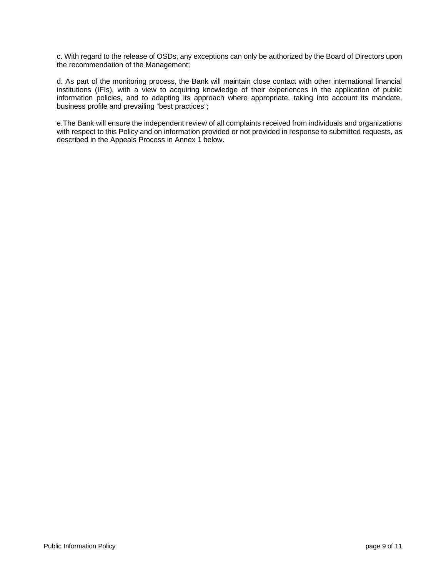c. With regard to the release of OSDs, any exceptions can only be authorized by the Board of Directors upon the recommendation of the Management;

d. As part of the monitoring process, the Bank will maintain close contact with other international financial institutions (IFIs), with a view to acquiring knowledge of their experiences in the application of public information policies, and to adapting its approach where appropriate, taking into account its mandate, business profile and prevailing "best practices";

e.The Bank will ensure the independent review of all complaints received from individuals and organizations with respect to this Policy and on information provided or not provided in response to submitted requests, as described in the Appeals Process in Annex 1 below.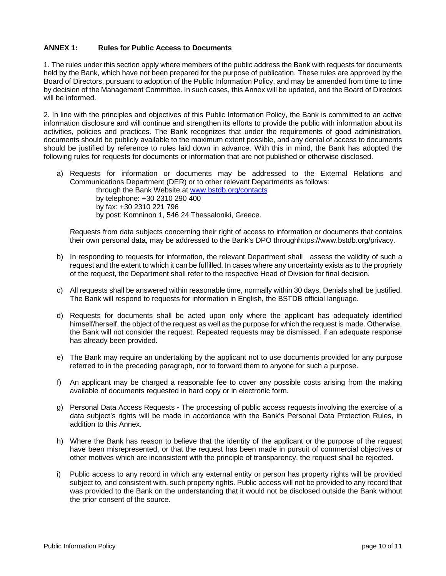# **ANNEX 1: Rules for Public Access to Documents**

1. The rules under this section apply where members of the public address the Bank with requests for documents held by the Bank, which have not been prepared for the purpose of publication. These rules are approved by the Board of Directors, pursuant to adoption of the Public Information Policy, and may be amended from time to time by decision of the Management Committee. In such cases, this Annex will be updated, and the Board of Directors will be informed.

2. In line with the principles and objectives of this Public Information Policy, the Bank is committed to an active information disclosure and will continue and strengthen its efforts to provide the public with information about its activities, policies and practices. The Bank recognizes that under the requirements of good administration, documents should be publicly available to the maximum extent possible, and any denial of access to documents should be justified by reference to rules laid down in advance. With this in mind, the Bank has adopted the following rules for requests for documents or information that are not published or otherwise disclosed.

a) Requests for information or documents may be addressed to the External Relations and Communications Department (DER) or to other relevant Departments as follows:

through the Bank Website at [www.bstdb.org/](http://www.bstdb.org/)contacts by telephone: +30 2310 290 400 by fax: +30 2310 221 796 by post: Komninon 1, 546 24 Thessaloniki, Greece.

Requests from data subjects concerning their right of access to information or documents that contains their own personal data, may be addressed to the Bank's DPO throughhttps://www.bstdb.org/privacy.

- b) In responding to requests for information, the relevant Department shall assess the validity of such a request and the extent to which it can be fulfilled. In cases where any uncertainty exists as to the propriety of the request, the Department shall refer to the respective Head of Division for final decision.
- c) All requests shall be answered within reasonable time, normally within 30 days. Denials shall be justified. The Bank will respond to requests for information in English, the BSTDB official language.
- d) Requests for documents shall be acted upon only where the applicant has adequately identified himself/herself, the object of the request as well as the purpose for which the request is made. Otherwise, the Bank will not consider the request. Repeated requests may be dismissed, if an adequate response has already been provided.
- e) The Bank may require an undertaking by the applicant not to use documents provided for any purpose referred to in the preceding paragraph, nor to forward them to anyone for such a purpose.
- f) An applicant may be charged a reasonable fee to cover any possible costs arising from the making available of documents requested in hard copy or in electronic form.
- g) Personal Data Access Requests **-** The processing of public access requests involving the exercise of a data subject's rights will be made in accordance with the Bank's Personal Data Protection Rules, in addition to this Annex.
- h) Where the Bank has reason to believe that the identity of the applicant or the purpose of the request have been misrepresented, or that the request has been made in pursuit of commercial objectives or other motives which are inconsistent with the principle of transparency, the request shall be rejected.
- i) Public access to any record in which any external entity or person has property rights will be provided subject to, and consistent with, such property rights. Public access will not be provided to any record that was provided to the Bank on the understanding that it would not be disclosed outside the Bank without the prior consent of the source.